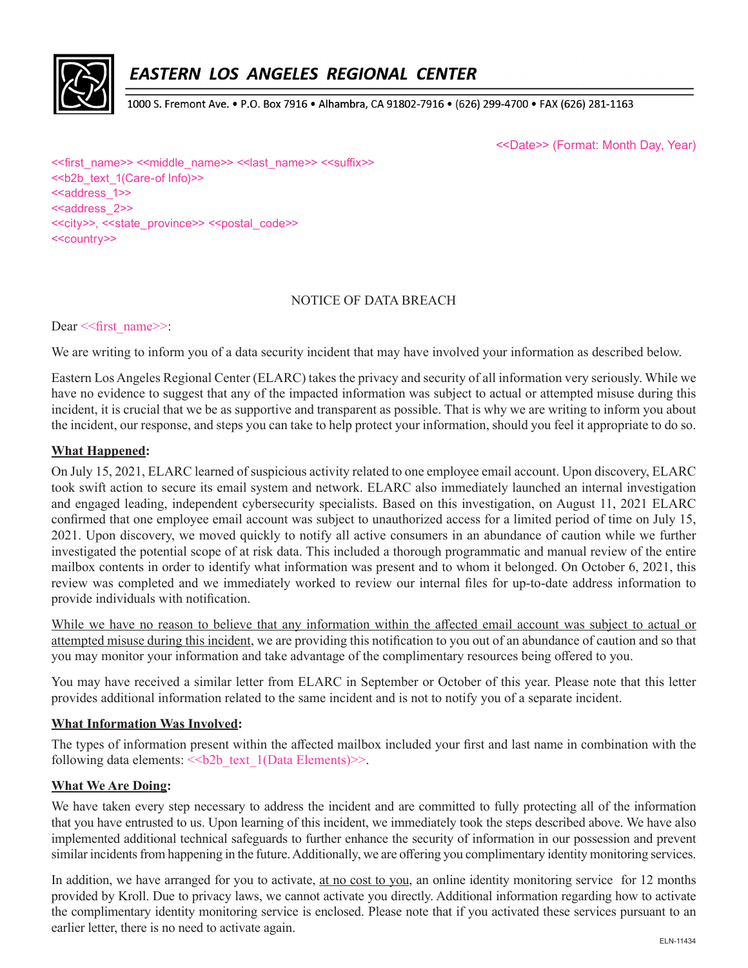

# EASTERN LOS ANGELES REGIONAL CENTER

1000 S. Fremont Ave. • P.O. Box 7916 • Alhambra, CA 91802-7916 • (626) 299-4700 • FAX (626) 281-1163

<<Date>> (Format: Month Day, Year)

<< first\_name>> <<middle\_name>> << last\_name>> <<suffix>> <<b2b\_text\_1(Care-of Info)>> <<aaddress\_1>> <<address\_2>> <<city>>, <<state\_province>> <<postal\_code>> <<country>>

#### NOTICE OF DATA BREACH

Dear << first\_name>>:

We are writing to inform you of a data security incident that may have involved your information as described below.

Eastern Los Angeles Regional Center (ELARC) takes the privacy and security of all information very seriously. While we have no evidence to suggest that any of the impacted information was subject to actual or attempted misuse during this incident, it is crucial that we be as supportive and transparent as possible. That is why we are writing to inform you about the incident, our response, and steps you can take to help protect your information, should you feel it appropriate to do so.

# **What Happened:**

On July 15, 2021, ELARC learned of suspicious activity related to one employee email account. Upon discovery, ELARC took swift action to secure its email system and network. ELARC also immediately launched an internal investigation and engaged leading, independent cybersecurity specialists. Based on this investigation, on August 11, 2021 ELARC confirmed that one employee email account was subject to unauthorized access for a limited period of time on July 15, 2021. Upon discovery, we moved quickly to notify all active consumers in an abundance of caution while we further investigated the potential scope of at risk data. This included a thorough programmatic and manual review of the entire mailbox contents in order to identify what information was present and to whom it belonged. On October 6, 2021, this review was completed and we immediately worked to review our internal files for up-to-date address information to provide individuals with notification.

While we have no reason to believe that any information within the affected email account was subject to actual or attempted misuse during this incident, we are providing this notification to you out of an abundance of caution and so that you may monitor your information and take advantage of the complimentary resources being offered to you.

You may have received a similar letter from ELARC in September or October of this year. Please note that this letter provides additional information related to the same incident and is not to notify you of a separate incident.

#### **What Information Was Involved:**

The types of information present within the affected mailbox included your first and last name in combination with the following data elements:  $\le$ b2b text 1(Data Elements)>>.

#### **What We Are Doing:**

We have taken every step necessary to address the incident and are committed to fully protecting all of the information that you have entrusted to us. Upon learning of this incident, we immediately took the steps described above. We have also implemented additional technical safeguards to further enhance the security of information in our possession and prevent similar incidents from happening in the future. Additionally, we are offering you complimentary identity monitoring services.

In addition, we have arranged for you to activate, at no cost to you, an online identity monitoring service for 12 months provided by Kroll. Due to privacy laws, we cannot activate you directly. Additional information regarding how to activate the complimentary identity monitoring service is enclosed. Please note that if you activated these services pursuant to an earlier letter, there is no need to activate again.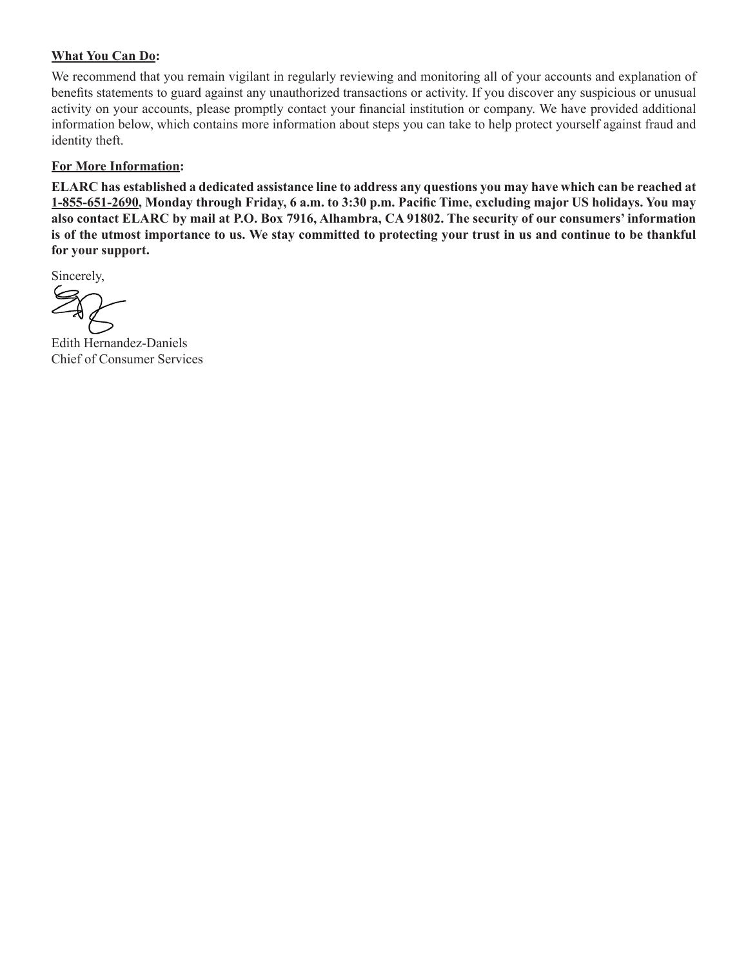# **What You Can Do:**

We recommend that you remain vigilant in regularly reviewing and monitoring all of your accounts and explanation of benefits statements to guard against any unauthorized transactions or activity. If you discover any suspicious or unusual activity on your accounts, please promptly contact your financial institution or company. We have provided additional information below, which contains more information about steps you can take to help protect yourself against fraud and identity theft.

### **For More Information:**

**ELARC has established a dedicated assistance line to address any questions you may have which can be reached at 1-855-651-2690, Monday through Friday, 6 a.m. to 3:30 p.m. Pacific Time, excluding major US holidays. You may also contact ELARC by mail at P.O. Box 7916, Alhambra, CA 91802. The security of our consumers' information is of the utmost importance to us. We stay committed to protecting your trust in us and continue to be thankful for your support.** 

Sincerely,

Edith Hernandez-Daniels Chief of Consumer Services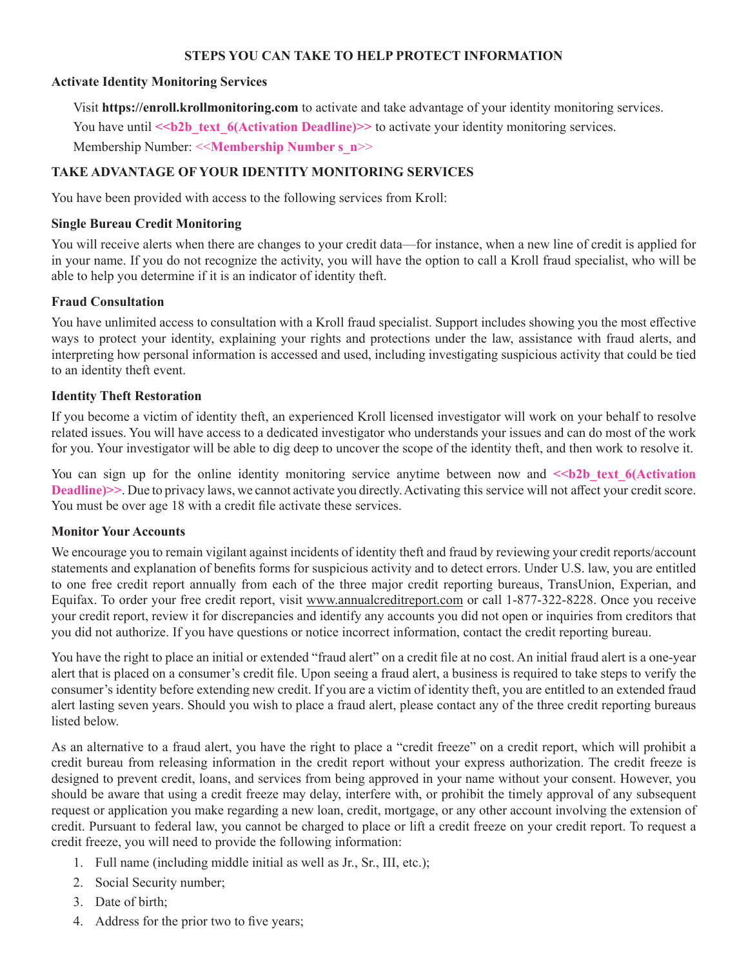### **STEPS YOU CAN TAKE TO HELP PROTECT INFORMATION**

#### **Activate Identity Monitoring Services**

Visit **https://enroll.krollmonitoring.com** to activate and take advantage of your identity monitoring services. You have until  $\le b2b$  text 6(Activation Deadline)>> to activate your identity monitoring services. Membership Number: <<**Membership Number s\_n**>>

# **TAKE ADVANTAGE OF YOUR IDENTITY MONITORING SERVICES**

You have been provided with access to the following services from Kroll:

### **Single Bureau Credit Monitoring**

You will receive alerts when there are changes to your credit data—for instance, when a new line of credit is applied for in your name. If you do not recognize the activity, you will have the option to call a Kroll fraud specialist, who will be able to help you determine if it is an indicator of identity theft.

# **Fraud Consultation**

You have unlimited access to consultation with a Kroll fraud specialist. Support includes showing you the most effective ways to protect your identity, explaining your rights and protections under the law, assistance with fraud alerts, and interpreting how personal information is accessed and used, including investigating suspicious activity that could be tied to an identity theft event.

# **Identity Theft Restoration**

If you become a victim of identity theft, an experienced Kroll licensed investigator will work on your behalf to resolve related issues. You will have access to a dedicated investigator who understands your issues and can do most of the work for you. Your investigator will be able to dig deep to uncover the scope of the identity theft, and then work to resolve it.

You can sign up for the online identity monitoring service anytime between now and  $\le b2b$  text 6(Activation **Deadline)>>**. Due to privacy laws, we cannot activate you directly. Activating this service will not affect your credit score. You must be over age 18 with a credit file activate these services.

#### **Monitor Your Accounts**

We encourage you to remain vigilant against incidents of identity theft and fraud by reviewing your credit reports/account statements and explanation of benefits forms for suspicious activity and to detect errors. Under U.S. law, you are entitled to one free credit report annually from each of the three major credit reporting bureaus, TransUnion, Experian, and Equifax. To order your free credit report, visit www.annualcreditreport.com or call 1-877-322-8228. Once you receive your credit report, review it for discrepancies and identify any accounts you did not open or inquiries from creditors that you did not authorize. If you have questions or notice incorrect information, contact the credit reporting bureau.

You have the right to place an initial or extended "fraud alert" on a credit file at no cost. An initial fraud alert is a one-year alert that is placed on a consumer's credit file. Upon seeing a fraud alert, a business is required to take steps to verify the consumer's identity before extending new credit. If you are a victim of identity theft, you are entitled to an extended fraud alert lasting seven years. Should you wish to place a fraud alert, please contact any of the three credit reporting bureaus listed below.

As an alternative to a fraud alert, you have the right to place a "credit freeze" on a credit report, which will prohibit a credit bureau from releasing information in the credit report without your express authorization. The credit freeze is designed to prevent credit, loans, and services from being approved in your name without your consent. However, you should be aware that using a credit freeze may delay, interfere with, or prohibit the timely approval of any subsequent request or application you make regarding a new loan, credit, mortgage, or any other account involving the extension of credit. Pursuant to federal law, you cannot be charged to place or lift a credit freeze on your credit report. To request a credit freeze, you will need to provide the following information:

- 1. Full name (including middle initial as well as Jr., Sr., III, etc.);
- 2. Social Security number;
- 3. Date of birth;
- 4. Address for the prior two to five years;